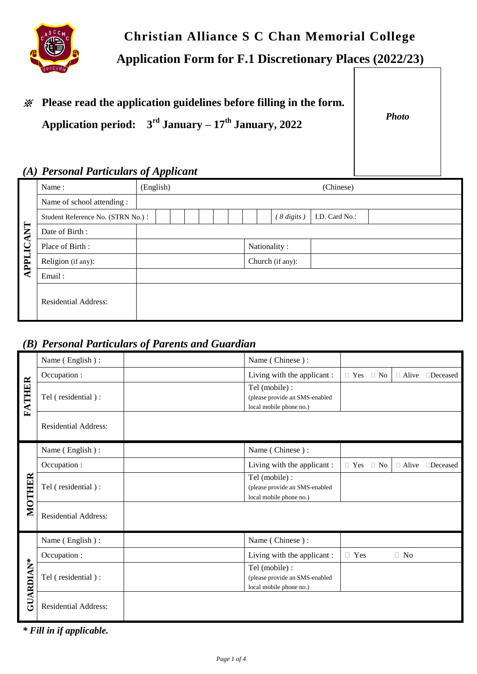

# **Christian Alliance S C Chan Memorial College Application Form for F.1 Discretionary Places (2022/23)**

# ※ **Please read the application guidelines before filling in the form.**

**Application period: 3 rd January – 17 th January, 2022**

*Photo*

## *(A) Personal Particulars of Applicant*

| <b>APPLICANT</b> | Name:                             | (English) | (Chinese)                              |  |  |
|------------------|-----------------------------------|-----------|----------------------------------------|--|--|
|                  | Name of school attending :        |           |                                        |  |  |
|                  | Student Reference No. (STRN No.): |           | <sup>8</sup> digits)<br>I.D. Card No.: |  |  |
|                  | Date of Birth:                    |           |                                        |  |  |
|                  | Place of Birth:                   |           | Nationality:                           |  |  |
|                  | Religion (if any):                |           | Church (if any):                       |  |  |
|                  | Email:                            |           |                                        |  |  |
|                  | <b>Residential Address:</b>       |           |                                        |  |  |

## *(B) Personal Particulars of Parents and Guardian*

| <b>FATHER</b>    | Name (English):             | Name (Chinese):                                                             |            |           |              |                 |  |
|------------------|-----------------------------|-----------------------------------------------------------------------------|------------|-----------|--------------|-----------------|--|
|                  | Occupation :                | Living with the applicant:                                                  | $\Box$ Yes | $\Box$ No | $\Box$ Alive | <b>Deceased</b> |  |
|                  | Tel (residential):          | Tel (mobile) :<br>(please provide an SMS-enabled<br>local mobile phone no.) |            |           |              |                 |  |
|                  | <b>Residential Address:</b> |                                                                             |            |           |              |                 |  |
|                  | Name (English):             | Name (Chinese):                                                             |            |           |              |                 |  |
|                  | Occupation :                | Living with the applicant:                                                  | $\Box$ Yes | $\Box$ No | $\Box$ Alive | $\Box$ Deceased |  |
| MOTHER           | Tel (residential):          | Tel (mobile) :<br>(please provide an SMS-enabled<br>local mobile phone no.) |            |           |              |                 |  |
|                  | <b>Residential Address:</b> |                                                                             |            |           |              |                 |  |
|                  | Name (English):             | Name (Chinese):                                                             |            |           |              |                 |  |
|                  | Occupation :                | Living with the applicant :                                                 | $\Box$ Yes |           | $\Box$ No    |                 |  |
| <b>GUARDIAN*</b> | Tel (residential):          | Tel (mobile) :<br>(please provide an SMS-enabled<br>local mobile phone no.) |            |           |              |                 |  |
|                  | <b>Residential Address:</b> |                                                                             |            |           |              |                 |  |

*\* Fill in if applicable.*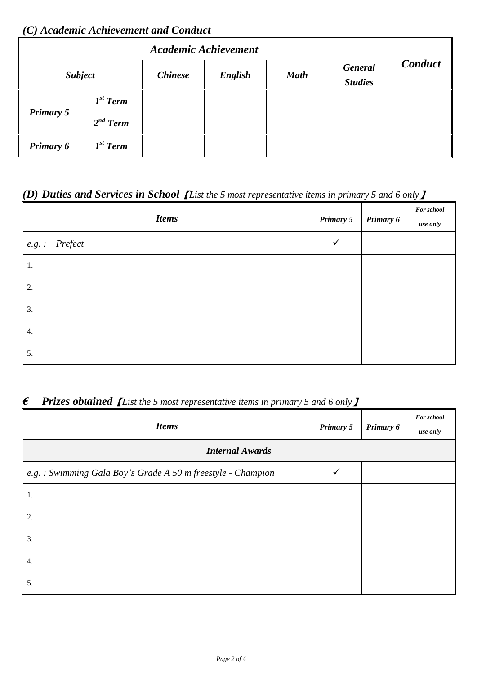### *(C) Academic Achievement and Conduct*

| Academic Achievement |               |                |         |             |                                  |                |
|----------------------|---------------|----------------|---------|-------------|----------------------------------|----------------|
| <b>Subject</b>       |               | <b>Chinese</b> | English | <b>Math</b> | <b>General</b><br><b>Studies</b> | <b>Conduct</b> |
|                      | $Ist$ Term    |                |         |             |                                  |                |
| <b>Primary 5</b>     | $2^{nd}$ Term |                |         |             |                                  |                |
| Primary 6            | $I^{st}$ Term |                |         |             |                                  |                |

## *(D) Duties and Services in School*【*List the 5 most representative items in primary 5 and 6 only*】

| <b>Items</b>    | Primary 5 | Primary 6 | <b>For school</b><br>use only |
|-----------------|-----------|-----------|-------------------------------|
| $e.g.:$ Prefect |           |           |                               |
| -1.             |           |           |                               |
| 2.              |           |           |                               |
| 3.              |           |           |                               |
| 4.              |           |           |                               |
| 5.              |           |           |                               |

## *€ Prizes obtained*【*List the 5 most representative items in primary 5 and 6 only*】

| <b>Items</b>                                                | Primary 5 | Primary 6 | <b>For school</b><br>use only |  |
|-------------------------------------------------------------|-----------|-----------|-------------------------------|--|
| <b>Internal Awards</b>                                      |           |           |                               |  |
| e.g.: Swimming Gala Boy's Grade A 50 m freestyle - Champion |           |           |                               |  |
| -1.                                                         |           |           |                               |  |
| 2.                                                          |           |           |                               |  |
| 3.                                                          |           |           |                               |  |
| 4.                                                          |           |           |                               |  |
| 5.                                                          |           |           |                               |  |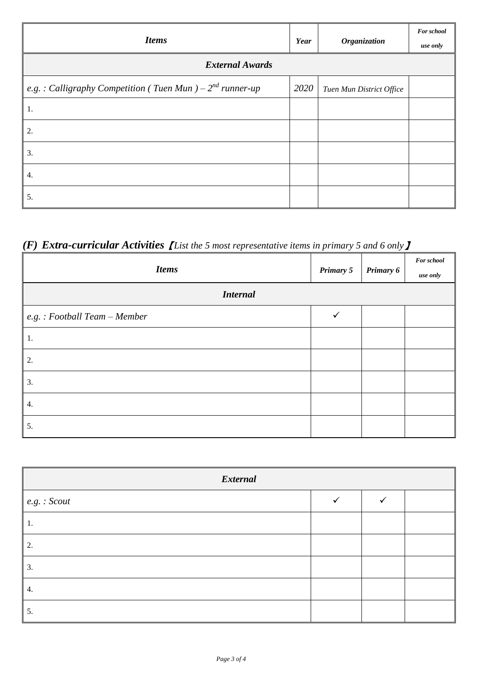| <b>Items</b>                                                  | <b>Year</b> | Organization             | <b>For school</b><br>use only |  |
|---------------------------------------------------------------|-------------|--------------------------|-------------------------------|--|
| <b>External Awards</b>                                        |             |                          |                               |  |
| e.g.: Calligraphy Competition (Tuen Mun) – $2^{nd}$ runner-up | 2020        | Tuen Mun District Office |                               |  |
| -1.                                                           |             |                          |                               |  |
| 2.                                                            |             |                          |                               |  |
| 3.                                                            |             |                          |                               |  |
| 4.                                                            |             |                          |                               |  |
| 5.                                                            |             |                          |                               |  |

## *(F) Extra-curricular Activities*【*List the 5 most representative items in primary 5 and 6 only*】

| <b>Items</b>                 |              | Primary 6 | <b>For school</b><br>use only |
|------------------------------|--------------|-----------|-------------------------------|
| <b>Internal</b>              |              |           |                               |
| e.g.: Football Team - Member | $\checkmark$ |           |                               |
| $\vert 1.$                   |              |           |                               |
| 2.                           |              |           |                               |
| 3.                           |              |           |                               |
| 4.                           |              |           |                               |
| 5.                           |              |           |                               |

| <b>External</b>     |  |  |  |
|---------------------|--|--|--|
| $\mid$ e.g. : Scout |  |  |  |
| 1.                  |  |  |  |
| 2.                  |  |  |  |
| 3.                  |  |  |  |
| 4.                  |  |  |  |
| 5.                  |  |  |  |